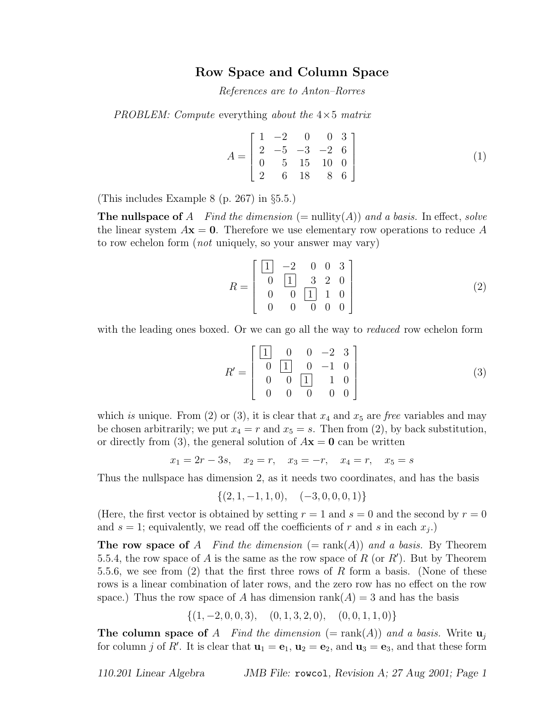## Row Space and Column Space

References are to Anton–Rorres

PROBLEM: Compute everything about the  $4\times 5$  matrix

$$
A = \begin{bmatrix} 1 & -2 & 0 & 0 & 3 \\ 2 & -5 & -3 & -2 & 6 \\ 0 & 5 & 15 & 10 & 0 \\ 2 & 6 & 18 & 8 & 6 \end{bmatrix}
$$
 (1)

(This includes Example 8 (p. 267) in §5.5.)

**The nullspace of** A Find the dimension (= nullity(A)) and a basis. In effect, solve the linear system  $A\mathbf{x} = \mathbf{0}$ . Therefore we use elementary row operations to reduce A to row echelon form (not uniquely, so your answer may vary)

$$
R = \begin{bmatrix} \boxed{1} & -2 & 0 & 0 & 3 \\ 0 & \boxed{1} & 3 & 2 & 0 \\ 0 & 0 & \boxed{1} & 1 & 0 \\ 0 & 0 & 0 & 0 & 0 \end{bmatrix} \tag{2}
$$

with the leading ones boxed. Or we can go all the way to *reduced* row echelon form

$$
R' = \begin{bmatrix} \boxed{1} & 0 & 0 & -2 & 3 \\ 0 & \boxed{1} & 0 & -1 & 0 \\ 0 & 0 & \boxed{1} & 1 & 0 \\ 0 & 0 & 0 & 0 & 0 \end{bmatrix} \tag{3}
$$

which is unique. From (2) or (3), it is clear that  $x_4$  and  $x_5$  are free variables and may be chosen arbitrarily; we put  $x_4 = r$  and  $x_5 = s$ . Then from (2), by back substitution, or directly from (3), the general solution of  $A\mathbf{x} = \mathbf{0}$  can be written

 $x_1 = 2r - 3s$ ,  $x_2 = r$ ,  $x_3 = -r$ ,  $x_4 = r$ ,  $x_5 = s$ 

Thus the nullspace has dimension 2, as it needs two coordinates, and has the basis

$$
\{(2, 1, -1, 1, 0), \quad (-3, 0, 0, 0, 1)\}
$$

(Here, the first vector is obtained by setting  $r = 1$  and  $s = 0$  and the second by  $r = 0$ and  $s = 1$ ; equivalently, we read off the coefficients of r and s in each  $x_j$ .)

**The row space of** A Find the dimension  $(=$  rank $(A)$ ) and a basis. By Theorem 5.5.4, the row space of A is the same as the row space of R (or R'). But by Theorem 5.5.6, we see from (2) that the first three rows of R form a basis. (None of these rows is a linear combination of later rows, and the zero row has no effect on the row space.) Thus the row space of A has dimension rank( $A$ ) = 3 and has the basis

$$
\{(1,-2,0,0,3), (0,1,3,2,0), (0,0,1,1,0)\}
$$

**The column space of** A Find the dimension (= rank(A)) and a basis. Write  $\mathbf{u}_i$ for column j of R'. It is clear that  $\mathbf{u}_1 = \mathbf{e}_1$ ,  $\mathbf{u}_2 = \mathbf{e}_2$ , and  $\mathbf{u}_3 = \mathbf{e}_3$ , and that these form

110.201 Linear Algebra JMB File: rowcol, Revision A; 27 Aug 2001; Page 1